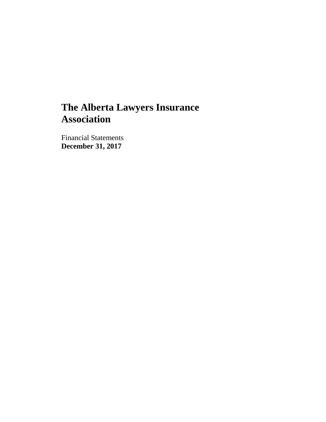Financial Statements **December 31, 2017**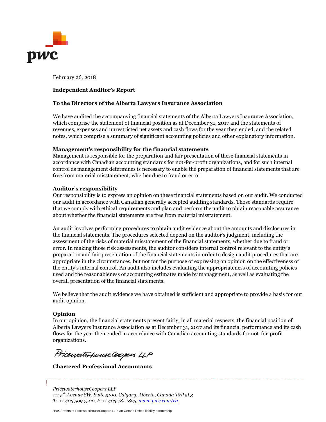

February 26, 2018

#### Independent Auditor's Report

#### To the Directors of the Alberta Lawyers Insurance Association

We have audited the accompanying financial statements of the Alberta Lawyers Insurance Association, which comprise the statement of financial position as at December 31, 2017 and the statements of revenues, expenses and unrestricted net assets and cash flows for the vear then ended, and the related notes, which comprise a summary of significant accounting policies and other explanatory information.

#### Management's responsibility for the financial statements

Management is responsible for the preparation and fair presentation of these financial statements in accordance with Canadian accounting standards for not-for-profit organizations, and for such internal control as management determines is necessary to enable the preparation of financial statements that are free from material misstatement, whether due to fraud or error.

#### Auditor's responsibility

Our responsibility is to express an opinion on these financial statements based on our audit. We conducted our audit in accordance with Canadian generally accepted auditing standards. Those standards require that we comply with ethical requirements and plan and perform the audit to obtain reasonable assurance about whether the financial statements are free from material misstatement.

An audit involves performing procedures to obtain audit evidence about the amounts and disclosures in the financial statements. The procedures selected depend on the auditor's judgment, including the assessment of the risks of material misstatement of the financial statements, whether due to fraud or error. In making those risk assessments, the auditor considers internal control relevant to the entity's preparation and fair presentation of the financial statements in order to design audit procedures that are appropriate in the circumstances, but not for the purpose of expressing an opinion on the effectiveness of the entity's internal control. An audit also includes evaluating the appropriateness of accounting policies used and the reasonableness of accounting estimates made by management, as well as evaluating the overall presentation of the financial statements.

We believe that the audit evidence we have obtained is sufficient and appropriate to provide a basis for our audit opinion.

### Opinion

In our opinion, the financial statements present fairly, in all material respects, the financial position of Alberta Lawyers Insurance Association as at December 31, 2017 and its financial performance and its cash flows for the year then ended in accordance with Canadian accounting standards for not-for-profit organizations.

PricewaterhouseCoopers LLP

Chartered Professional Accountants

PricewaterhouseCoopers LLP 111 5<sup>th</sup> Avenue SW, Suite 3100, Calgary, Alberta, Canada T2P 5L3  $T: +14035097500, F: +14037811825, \underline{www.pwc.com/ca}$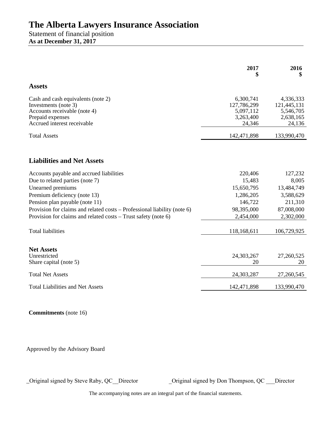Statement of financial position **As at December 31, 2017** 

|                                                                          | 2017                   | 2016<br>\$          |
|--------------------------------------------------------------------------|------------------------|---------------------|
| <b>Assets</b>                                                            |                        |                     |
| Cash and cash equivalents (note 2)                                       | 6,300,741              | 4,336,333           |
| Investments (note 3)                                                     | 127,786,299            | 121,445,131         |
| Accounts receivable (note 4)                                             | 5,097,112<br>3,263,400 | 5,546,705           |
| Prepaid expenses<br>Accrued interest receivable                          | 24,346                 | 2,638,165<br>24,136 |
| <b>Total Assets</b>                                                      | 142,471,898            | 133,990,470         |
| <b>Liabilities and Net Assets</b>                                        |                        |                     |
| Accounts payable and accrued liabilities                                 | 220,406                | 127,232             |
| Due to related parties (note 7)                                          | 15,483                 | 8,005               |
| Unearned premiums                                                        | 15,650,795             | 13,484,749          |
| Premium deficiency (note 13)                                             | 1,286,205              | 3,588,629           |
| Pension plan payable (note 11)                                           | 146,722                | 211,310             |
| Provision for claims and related costs - Professional liability (note 6) | 98,395,000             | 87,008,000          |
| Provision for claims and related costs – Trust safety (note 6)           | 2,454,000              | 2,302,000           |
| <b>Total liabilities</b>                                                 | 118,168,611            | 106,729,925         |
| <b>Net Assets</b>                                                        |                        |                     |
| Unrestricted                                                             | 24,303,267             | 27,260,525          |
| Share capital (note 5)                                                   | 20                     | 20                  |
| <b>Total Net Assets</b>                                                  | 24,303,287             | 27,260,545          |
| <b>Total Liabilities and Net Assets</b>                                  | 142,471,898            | 133,990,470         |

**Commitments** (note 16)

Approved by the Advisory Board

\_Original signed by Steve Raby, QC\_\_Director \_Original signed by Don Thompson, QC \_\_\_Director

The accompanying notes are an integral part of the financial statements.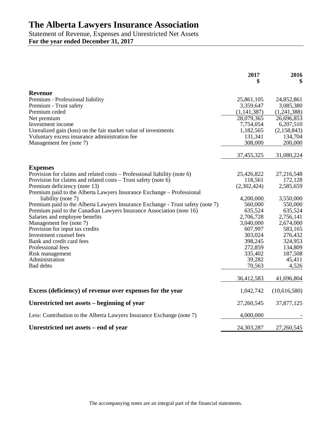Statement of Revenue, Expenses and Unrestricted Net Assets **For the year ended December 31, 2017**

|                                                                                | 2017          | 2016         |
|--------------------------------------------------------------------------------|---------------|--------------|
| <b>Revenue</b>                                                                 |               |              |
| Premium - Professional liability                                               | 25,861,105    | 24,852,861   |
| Premium - Trust safety                                                         | 3,359,647     | 3,085,380    |
| Premium ceded                                                                  | (1, 141, 387) | (1,241,388)  |
| Net premium                                                                    | 28,079,365    | 26,696,853   |
| Investment income                                                              | 7,754,054     | 6,207,510    |
| Unrealized gain (loss) on the fair market value of investments                 | 1,182,565     | (2,158,843)  |
| Voluntary excess insurance administration fee                                  | 131,341       | 134,704      |
| Management fee (note 7)                                                        | 308,000       | 200,000      |
|                                                                                | 37,455,325    | 31,080,224   |
| <b>Expenses</b>                                                                |               |              |
| Provision for claims and related costs – Professional liability (note 6)       | 25,426,822    | 27,216,548   |
| Provision for claims and related costs - Trust safety (note 6)                 | 118,561       | 172,128      |
| Premium deficiency (note 13)                                                   | (2,302,424)   | 2,585,659    |
| Premium paid to the Alberta Lawyers Insurance Exchange – Professional          |               |              |
| liability (note 7)                                                             | 4,200,000     | 3,550,000    |
| Premium paid to the Alberta Lawyers Insurance Exchange - Trust safety (note 7) | 560,000       | 550,000      |
| Premium paid to the Canadian Lawyers Insurance Association (note 16)           | 635,524       | 635,524      |
| Salaries and employee benefits                                                 | 2,706,728     | 2,756,141    |
| Management fee (note 7)                                                        | 3,040,000     | 2,674,000    |
| Provision for input tax credits                                                | 607,997       | 583,165      |
| Investment counsel fees                                                        | 303,024       | 276,432      |
| Bank and credit card fees                                                      | 398,245       | 324,953      |
| Professional fees                                                              | 272,859       | 134,809      |
| Risk management                                                                | 335,402       | 187,508      |
| Administration                                                                 | 39,282        | 45,411       |
| <b>Bad debts</b>                                                               | 70,563        | 4,526        |
|                                                                                | 36,412,583    | 41,696,804   |
| Excess (deficiency) of revenue over expenses for the year                      | 1,042,742     | (10,616,580) |
| Unrestricted net assets – beginning of year                                    | 27,260,545    | 37,877,125   |
| Less: Contribution to the Alberta Lawyers Insurance Exchange (note 7)          | 4,000,000     |              |
| Unrestricted net assets – end of year                                          | 24,303,287    | 27,260,545   |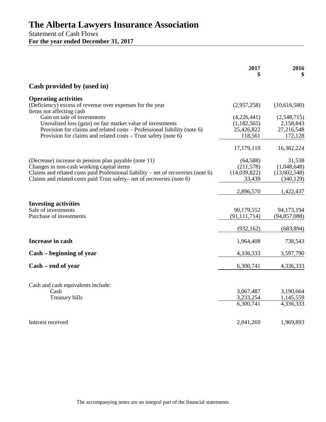Statement of Cash Flows **For the year ended December 31, 2017**

|                                                                                       | 2017                   | 2016<br>\$             |
|---------------------------------------------------------------------------------------|------------------------|------------------------|
| Cash provided by (used in)                                                            |                        |                        |
| <b>Operating activities</b>                                                           |                        |                        |
| (Deficiency) excess of revenue over expenses for the year<br>Items not affecting cash | (2,957,258)            | (10,616,580)           |
| Gain on sale of investments                                                           | (4,226,441)            | (2,548,715)            |
| Unrealized loss (gain) on fair market value of investments                            | (1,182,565)            | 2,158,843              |
| Provision for claims and related costs – Professional liability (note 6)              | 25,426,822             | 27,216,548             |
| Provision for claims and related costs – Trust safety (note 6)                        | 118,561                | 172,128                |
|                                                                                       | 17,179,119             | 16,382,224             |
| (Decrease) increase in pension plan payable (note 11)                                 | (64, 588)              | 31,538                 |
| Changes in non-cash working capital items                                             | (211,578)              | (1,048,648)            |
| Claims and related costs paid Professional liability - net of recoveries (note 6)     | (14,039,822)           | (13,602,548)           |
| Claims and related costs paid Trust safety– net of recoveries (note 6)                | 33,439                 | (340, 129)             |
|                                                                                       | 2,896,570              | 1,422,437              |
| <b>Investing activities</b>                                                           |                        |                        |
| Sale of investments                                                                   | 90,179,552             | 94,173,194             |
| Purchase of investments                                                               | (91, 111, 714)         | (94, 857, 088)         |
|                                                                                       | (932, 162)             | (683, 894)             |
| Increase in cash                                                                      | 1,964,408              | 738,543                |
| Cash – beginning of year                                                              | 4,336,333              | 3,597,790              |
| Cash – end of year                                                                    | 6,300,741              | 4,336,333              |
|                                                                                       |                        |                        |
| Cash and cash equivalents include:                                                    |                        |                        |
| Cash<br>Treasury bills                                                                | 3,067,487<br>3,233,254 | 3,190,664<br>1,145,559 |
|                                                                                       | 6,300,741              | 4,336,333              |
|                                                                                       |                        |                        |
| Interest received                                                                     | 2,041,269              | 1,969,893              |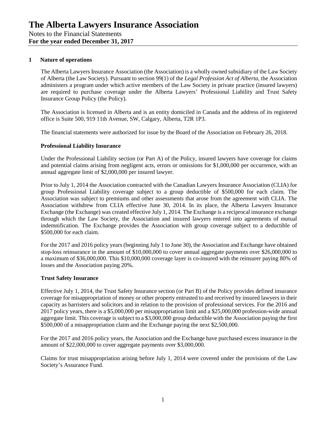#### **1 Nature of operations**

The Alberta Lawyers Insurance Association (the Association) is a wholly owned subsidiary of the Law Society of Alberta (the Law Society). Pursuant to section 99(1) of the *Legal Profession Act of Alberta*, the Association administers a program under which active members of the Law Society in private practice (insured lawyers) are required to purchase coverage under the Alberta Lawyers' Professional Liability and Trust Safety Insurance Group Policy (the Policy).

The Association is licensed in Alberta and is an entity domiciled in Canada and the address of its registered office is Suite 500, 919 11th Avenue, SW, Calgary, Alberta, T2R 1P3.

The financial statements were authorized for issue by the Board of the Association on February 26, 2018.

#### **Professional Liability Insurance**

Under the Professional Liability section (or Part A) of the Policy, insured lawyers have coverage for claims and potential claims arising from negligent acts, errors or omissions for \$1,000,000 per occurrence, with an annual aggregate limit of \$2,000,000 per insured lawyer.

Prior to July 1, 2014 the Association contracted with the Canadian Lawyers Insurance Association (CLIA) for group Professional Liability coverage subject to a group deductible of \$500,000 for each claim. The Association was subject to premiums and other assessments that arose from the agreement with CLIA. The Association withdrew from CLIA effective June 30, 2014. In its place, the Alberta Lawyers Insurance Exchange (the Exchange) was created effective July 1, 2014. The Exchange is a reciprocal insurance exchange through which the Law Society, the Association and insured lawyers entered into agreements of mutual indemnification. The Exchange provides the Association with group coverage subject to a deductible of \$500,000 for each claim.

For the 2017 and 2016 policy years (beginning July 1 to June 30), the Association and Exchange have obtained stop-loss reinsurance in the amount of \$10,000,000 to cover annual aggregate payments over \$26,000,000 to a maximum of \$36,000,000. This \$10,000,000 coverage layer is co-insured with the reinsurer paying 80% of losses and the Association paying 20%.

#### **Trust Safety Insurance**

Effective July 1, 2014, the Trust Safety Insurance section (or Part B) of the Policy provides defined insurance coverage for misappropriation of money or other property entrusted to and received by insured lawyers in their capacity as barristers and solicitors and in relation to the provision of professional services. For the 2016 and 2017 policy years, there is a \$5,000,000 per misappropriation limit and a \$25,000,000 profession-wide annual aggregate limit. This coverage is subject to a \$3,000,000 group deductible with the Association paying the first \$500,000 of a misappropriation claim and the Exchange paying the next \$2,500,000.

For the 2017 and 2016 policy years, the Association and the Exchange have purchased excess insurance in the amount of \$22,000,000 to cover aggregate payments over \$3,000,000.

Claims for trust misappropriation arising before July 1, 2014 were covered under the provisions of the Law Society's Assurance Fund.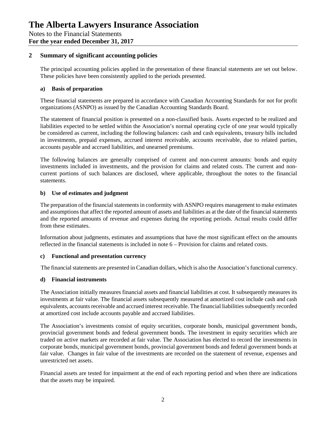## **2 Summary of significant accounting policies**

The principal accounting policies applied in the presentation of these financial statements are set out below. These policies have been consistently applied to the periods presented.

## **a) Basis of preparation**

These financial statements are prepared in accordance with Canadian Accounting Standards for not for profit organizations (ASNPO) as issued by the Canadian Accounting Standards Board.

The statement of financial position is presented on a non-classified basis. Assets expected to be realized and liabilities expected to be settled within the Association's normal operating cycle of one year would typically be considered as current, including the following balances: cash and cash equivalents, treasury bills included in investments, prepaid expenses, accrued interest receivable, accounts receivable, due to related parties, accounts payable and accrued liabilities, and unearned premiums.

The following balances are generally comprised of current and non-current amounts: bonds and equity investments included in investments, and the provision for claims and related costs. The current and noncurrent portions of such balances are disclosed, where applicable, throughout the notes to the financial statements.

## **b) Use of estimates and judgment**

The preparation of the financial statements in conformity with ASNPO requires management to make estimates and assumptions that affect the reported amount of assets and liabilities as at the date of the financial statements and the reported amounts of revenue and expenses during the reporting periods. Actual results could differ from these estimates.

Information about judgments, estimates and assumptions that have the most significant effect on the amounts reflected in the financial statements is included in note 6 – Provision for claims and related costs.

### **c) Functional and presentation currency**

The financial statements are presented in Canadian dollars, which is also the Association's functional currency.

## **d) Financial instruments**

The Association initially measures financial assets and financial liabilities at cost. It subsequently measures its investments at fair value. The financial assets subsequently measured at amortized cost include cash and cash equivalents, accounts receivable and accrued interest receivable. The financial liabilities subsequently recorded at amortized cost include accounts payable and accrued liabilities.

The Association's investments consist of equity securities, corporate bonds, municipal government bonds, provincial government bonds and federal government bonds. The investment in equity securities which are traded on active markets are recorded at fair value. The Association has elected to record the investments in corporate bonds, municipal government bonds, provincial government bonds and federal government bonds at fair value. Changes in fair value of the investments are recorded on the statement of revenue, expenses and unrestricted net assets.

Financial assets are tested for impairment at the end of each reporting period and when there are indications that the assets may be impaired.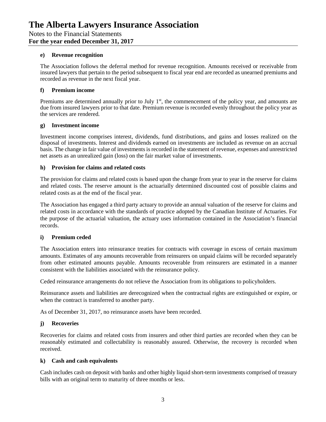### **e) Revenue recognition**

The Association follows the deferral method for revenue recognition. Amounts received or receivable from insured lawyers that pertain to the period subsequent to fiscal year end are recorded as unearned premiums and recorded as revenue in the next fiscal year.

#### **f) Premium income**

Premiums are determined annually prior to July  $1<sup>st</sup>$ , the commencement of the policy year, and amounts are due from insured lawyers prior to that date. Premium revenue is recorded evenly throughout the policy year as the services are rendered.

#### **g) Investment income**

Investment income comprises interest, dividends, fund distributions, and gains and losses realized on the disposal of investments. Interest and dividends earned on investments are included as revenue on an accrual basis. The change in fair value of investments is recorded in the statement of revenue, expenses and unrestricted net assets as an unrealized gain (loss) on the fair market value of investments.

#### **h) Provision for claims and related costs**

The provision for claims and related costs is based upon the change from year to year in the reserve for claims and related costs. The reserve amount is the actuarially determined discounted cost of possible claims and related costs as at the end of the fiscal year.

The Association has engaged a third party actuary to provide an annual valuation of the reserve for claims and related costs in accordance with the standards of practice adopted by the Canadian Institute of Actuaries. For the purpose of the actuarial valuation, the actuary uses information contained in the Association's financial records.

### **i) Premium ceded**

The Association enters into reinsurance treaties for contracts with coverage in excess of certain maximum amounts. Estimates of any amounts recoverable from reinsurers on unpaid claims will be recorded separately from other estimated amounts payable. Amounts recoverable from reinsurers are estimated in a manner consistent with the liabilities associated with the reinsurance policy.

Ceded reinsurance arrangements do not relieve the Association from its obligations to policyholders.

Reinsurance assets and liabilities are derecognized when the contractual rights are extinguished or expire, or when the contract is transferred to another party.

As of December 31, 2017, no reinsurance assets have been recorded.

### **j) Recoveries**

Recoveries for claims and related costs from insurers and other third parties are recorded when they can be reasonably estimated and collectability is reasonably assured. Otherwise, the recovery is recorded when received.

### **k) Cash and cash equivalents**

Cash includes cash on deposit with banks and other highly liquid short-term investments comprised of treasury bills with an original term to maturity of three months or less.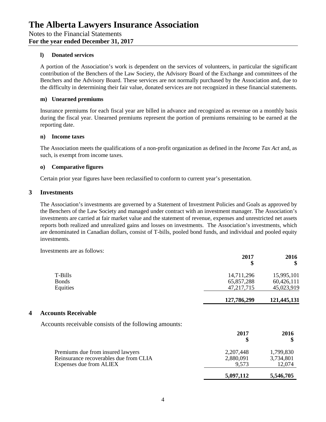#### **l) Donated services**

A portion of the Association's work is dependent on the services of volunteers, in particular the significant contribution of the Benchers of the Law Society, the Advisory Board of the Exchange and committees of the Benchers and the Advisory Board. These services are not normally purchased by the Association and, due to the difficulty in determining their fair value, donated services are not recognized in these financial statements.

#### **m) Unearned premiums**

Insurance premiums for each fiscal year are billed in advance and recognized as revenue on a monthly basis during the fiscal year. Unearned premiums represent the portion of premiums remaining to be earned at the reporting date.

#### **n) Income taxes**

The Association meets the qualifications of a non-profit organization as defined in the *Income Tax Act* and, as such, is exempt from income taxes.

### **o) Comparative figures**

Certain prior year figures have been reclassified to conform to current year's presentation.

#### **3 Investments**

The Association's investments are governed by a Statement of Investment Policies and Goals as approved by the Benchers of the Law Society and managed under contract with an investment manager. The Association's investments are carried at fair market value and the statement of revenue, expenses and unrestricted net assets reports both realized and unrealized gains and losses on investments. The Association's investments, which are denominated in Canadian dollars, consist of T-bills, pooled bond funds, and individual and pooled equity investments.

Investments are as follows:

|                                                        | 2017<br>\$   | 2016<br>\$  |
|--------------------------------------------------------|--------------|-------------|
| T-Bills                                                | 14,711,296   | 15,995,101  |
| <b>Bonds</b>                                           | 65,857,288   | 60,426,111  |
| Equities                                               | 47, 217, 715 | 45,023,919  |
|                                                        | 127,786,299  | 121,445,131 |
| <b>Accounts Receivable</b><br>$\overline{\mathbf{4}}$  |              |             |
| Accounts receivable consists of the following amounts: |              |             |
|                                                        | 2017<br>\$   | 2016<br>\$  |
| Premiums due from insured lawyers                      | 2,207,448    | 1,799,830   |
| Reinsurance recoverables due from CLIA                 | 2,880,091    | 3,734,801   |
| Expenses due from ALIEX                                | 9,573        | 12,074      |
|                                                        | 5,097,112    | 5,546,705   |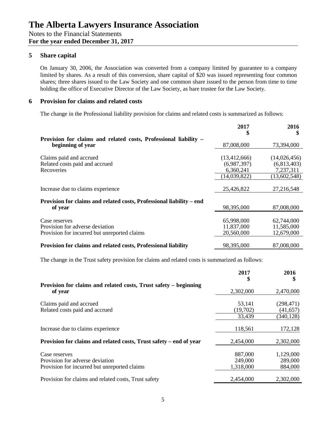## **5 Share capital**

On January 30, 2006, the Association was converted from a company limited by guarantee to a company limited by shares. As a result of this conversion, share capital of \$20 was issued representing four common shares; three shares issued to the Law Society and one common share issued to the person from time to time holding the office of Executive Director of the Law Society, as bare trustee for the Law Society.

## **6 Provision for claims and related costs**

The change in the Professional liability provision for claims and related costs is summarized as follows:

|                                                                      | 2017<br>S      | 2016<br>\$   |
|----------------------------------------------------------------------|----------------|--------------|
| Provision for claims and related costs, Professional liability -     |                |              |
| beginning of year                                                    | 87,008,000     | 73,394,000   |
|                                                                      |                |              |
| Claims paid and accrued                                              | (13, 412, 666) | (14,026,456) |
| Related costs paid and accrued                                       | (6,987,397)    | (6,813,403)  |
| Recoveries                                                           | 6,360,241      | 7,237,311    |
|                                                                      | (14,039,822)   | (13,602,548) |
|                                                                      |                |              |
| Increase due to claims experience                                    | 25,426,822     | 27,216,548   |
| Provision for claims and related costs, Professional liability - end |                |              |
| of year                                                              | 98,395,000     | 87,008,000   |
|                                                                      |                |              |
| Case reserves                                                        | 65,998,000     | 62,744,000   |
| Provision for adverse deviation                                      | 11,837,000     | 11,585,000   |
| Provision for incurred but unreported claims                         | 20,560,000     | 12,679,000   |
|                                                                      |                |              |
| Provision for claims and related costs, Professional liability       | 98,395,000     | 87,008,000   |

The change in the Trust safety provision for claims and related costs is summarized as follows:

|                                                                             | 2017<br>\$ | 2016       |
|-----------------------------------------------------------------------------|------------|------------|
| Provision for claims and related costs, Trust safety – beginning<br>of year | 2,302,000  | 2,470,000  |
| Claims paid and accrued                                                     | 53,141     | (298, 471) |
| Related costs paid and accrued                                              | (19,702)   | (41, 657)  |
|                                                                             | 33,439     | (340, 128) |
| Increase due to claims experience                                           | 118,561    | 172,128    |
| Provision for claims and related costs, Trust safety – end of year          | 2,454,000  | 2,302,000  |
| Case reserves                                                               | 887,000    | 1,129,000  |
| Provision for adverse deviation                                             | 249,000    | 289,000    |
| Provision for incurred but unreported claims                                | 1,318,000  | 884,000    |
| Provision for claims and related costs, Trust safety                        | 2,454,000  | 2,302,000  |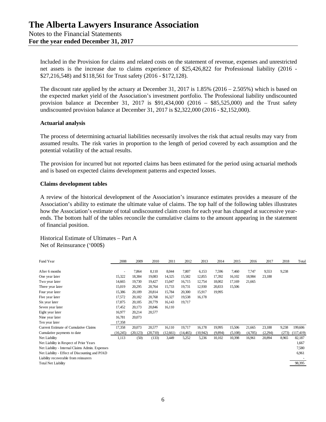Included in the Provision for claims and related costs on the statement of revenue, expenses and unrestricted net assets is the increase due to claims experience of \$25,426,822 for Professional liability (2016 - \$27,216,548) and \$118,561 for Trust safety (2016 - \$172,128).

The discount rate applied by the actuary at December 31, 2017 is  $1.85\%$  (2016 – 2.505%) which is based on the expected market yield of the Association's investment portfolio. The Professional liability undiscounted provision balance at December 31, 2017 is \$91,434,000 (2016 – \$85,525,000) and the Trust safety undiscounted provision balance at December 31, 2017 is \$2,322,000 (2016 - \$2,152,000).

### **Actuarial analysis**

The process of determining actuarial liabilities necessarily involves the risk that actual results may vary from assumed results. The risk varies in proportion to the length of period covered by each assumption and the potential volatility of the actual results.

The provision for incurred but not reported claims has been estimated for the period using actuarial methods and is based on expected claims development patterns and expected losses.

#### **Claims development tables**

A review of the historical development of the Association's insurance estimates provides a measure of the Association's ability to estimate the ultimate value of claims. The top half of the following tables illustrates how the Association's estimate of total undiscounted claim costs for each year has changed at successive yearends. The bottom half of the tables reconcile the cumulative claims to the amount appearing in the statement of financial position.

Historical Estimate of Ultimates – Part A Net of Reinsurance ('000\$)

| Fund Year                                       | 2008     | 2009      | 2010     | 2011      | 2012      | 2013      | 2014    | 2015    | 2016    | 2017    | 2018  | Total      |
|-------------------------------------------------|----------|-----------|----------|-----------|-----------|-----------|---------|---------|---------|---------|-------|------------|
|                                                 |          |           |          |           |           |           |         |         |         |         |       |            |
| After 6 months                                  | ٠        | 7,864     | 8,110    | 8,044     | 7,807     | 6,153     | 7,596   | 7,460   | 7,747   | 9,553   | 9,238 |            |
| One year later                                  | 15,322   | 18,384    | 19,083   | 14,325    | 15,582    | 12,855    | 17,392  | 16,102  | 18,984  | 23,188  |       |            |
| Two year later                                  | 14,665   | 19,730    | 19,427   | 15,047    | 16,715    | 12,754    | 18,002  | 17,169  | 21,665  |         |       |            |
| Three year later                                | 15,019   | 20,295    | 20,764   | 15,733    | 19,731    | 12,930    | 20,833  | 15,506  |         |         |       |            |
| Four year later                                 | 15,386   | 20,189    | 20,814   | 15,784    | 20,300    | 15,917    | 19,995  |         |         |         |       |            |
| Five year later                                 | 17,572   | 20,182    | 20,768   | 16,327    | 19,538    | 16,178    |         |         |         |         |       |            |
| Six year later                                  | 17,875   | 20,185    | 20,779   | 16,143    | 19,717    |           |         |         |         |         |       |            |
| Seven year later                                | 17,452   | 20,173    | 20,846   | 16,110    |           |           |         |         |         |         |       |            |
| Eight year later                                | 16,977   | 20,214    | 20,577   |           |           |           |         |         |         |         |       |            |
| Nine year later                                 | 16,781   | 20,073    |          |           |           |           |         |         |         |         |       |            |
| Ten year later                                  | 17,358   |           |          |           |           |           |         |         |         |         |       |            |
| Current Estimate of Cumulative Claims           | 17,358   | 20,073    | 20,577   | 16,110    | 19,717    | 16,178    | 19,995  | 15,506  | 21,665  | 23,188  | 9,238 | 199,606    |
| Cumulative payments to date                     | (16,245) | (20, 123) | (20,710) | (12, 661) | (14, 465) | (10, 942) | (9,894) | (5,108) | (4,705) | (2,294) | (273) | (117, 419) |
| Net Liability                                   | 1,113    | (50)      | (133)    | 3,449     | 5,252     | 5,236     | 10,102  | 10,398  | 16,961  | 20,894  | 8,965 | 82,187     |
| Net Liability in Respect of Prior Years         |          |           |          |           |           |           |         |         |         |         |       | 1,667      |
| Net Liability - Internal Claims Admin. Expenses |          |           |          |           |           |           |         |         |         |         |       | 7,580      |
| Net Liability - Effect of Discounting and PfAD  |          |           |          |           |           |           |         |         |         |         |       | 6,961      |
| Liability recoverable from reinsurers           |          |           |          |           |           |           |         |         |         |         |       |            |
| <b>Total Net Liability</b>                      |          |           |          |           |           |           |         |         |         |         |       | 98,395     |
|                                                 |          |           |          |           |           |           |         |         |         |         |       |            |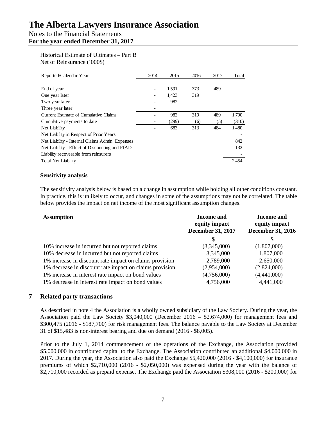## Notes to the Financial Statements **For the year ended December 31, 2017**

## Historical Estimate of Ultimates – Part B Net of Reinsurance ('000\$)

| Reported/Calendar Year                          | 2014 | 2015  | 2016 | 2017 | Total |
|-------------------------------------------------|------|-------|------|------|-------|
|                                                 |      |       |      |      |       |
| End of year                                     | -    | 1.591 | 373  | 489  |       |
| One year later                                  |      | 1,423 | 319  |      |       |
| Two year later                                  |      | 982   |      |      |       |
| Three year later                                |      |       |      |      |       |
| Current Estimate of Cumulative Claims           |      | 982   | 319  | 489  | 1,790 |
| Cumulative payments to date                     |      | (299) | (6)  | (5)  | (310) |
| Net Liability                                   |      | 683   | 313  | 484  | 1,480 |
| Net Liability in Respect of Prior Years         |      |       |      |      |       |
| Net Liability - Internal Claims Admin. Expenses |      |       |      |      | 842   |
| Net Liability - Effect of Discounting and PfAD  |      |       |      |      | 132   |
| Liability recoverable from reinsurers           |      |       |      |      |       |
| <b>Total Net Liability</b>                      |      |       |      |      | 2.454 |

## **Sensitivity analysis**

The sensitivity analysis below is based on a change in assumption while holding all other conditions constant. In practice, this is unlikely to occur, and changes in some of the assumptions may not be correlated. The table below provides the impact on net income of the most significant assumption changes.

| <b>Assumption</b>                                       | <b>Income and</b><br>equity impact<br><b>December 31, 2017</b> | <b>Income and</b><br>equity impact<br><b>December 31, 2016</b> |
|---------------------------------------------------------|----------------------------------------------------------------|----------------------------------------------------------------|
|                                                         | S                                                              | S                                                              |
| 10% increase in incurred but not reported claims        | (3,345,000)                                                    | (1,807,000)                                                    |
| 10% decrease in incurred but not reported claims        | 3,345,000                                                      | 1,807,000                                                      |
| 1% increase in discount rate impact on claims provision | 2,789,000                                                      | 2,650,000                                                      |
| 1% decrease in discount rate impact on claims provision | (2,954,000)                                                    | (2,824,000)                                                    |
| 1% increase in interest rate impact on bond values      | (4,756,000)                                                    | (4,441,000)                                                    |
| 1% decrease in interest rate impact on bond values      | 4,756,000                                                      | 4,441,000                                                      |

## **7 Related party transactions**

As described in note 4 the Association is a wholly owned subsidiary of the Law Society. During the year, the Association paid the Law Society \$3,040,000 (December 2016 – \$2,674,000) for management fees and \$300,475 (2016 - \$187,700) for risk management fees. The balance payable to the Law Society at December 31 of \$15,483 is non-interest bearing and due on demand (2016 - \$8,005).

Prior to the July 1, 2014 commencement of the operations of the Exchange, the Association provided \$5,000,000 in contributed capital to the Exchange. The Association contributed an additional \$4,000,000 in 2017. During the year, the Association also paid the Exchange \$5,420,000 (2016 - \$4,100,000) for insurance premiums of which \$2,710,000 (2016 - \$2,050,000) was expensed during the year with the balance of \$2,710,000 recorded as prepaid expense. The Exchange paid the Association \$308,000 (2016 - \$200,000) for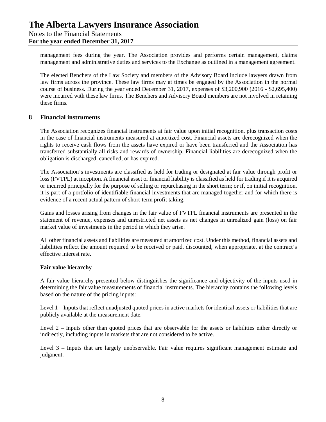## **The Alberta Lawyers Insurance Association** Notes to the Financial Statements

**For the year ended December 31, 2017**

management fees during the year. The Association provides and performs certain management, claims management and administrative duties and services to the Exchange as outlined in a management agreement.

The elected Benchers of the Law Society and members of the Advisory Board include lawyers drawn from law firms across the province. These law firms may at times be engaged by the Association in the normal course of business. During the year ended December 31, 2017, expenses of \$3,200,900 (2016 - \$2,695,400) were incurred with these law firms. The Benchers and Advisory Board members are not involved in retaining these firms.

## **8 Financial instruments**

The Association recognizes financial instruments at fair value upon initial recognition, plus transaction costs in the case of financial instruments measured at amortized cost. Financial assets are derecognized when the rights to receive cash flows from the assets have expired or have been transferred and the Association has transferred substantially all risks and rewards of ownership. Financial liabilities are derecognized when the obligation is discharged, cancelled, or has expired.

The Association's investments are classified as held for trading or designated at fair value through profit or loss (FVTPL) at inception. A financial asset or financial liability is classified as held for trading if it is acquired or incurred principally for the purpose of selling or repurchasing in the short term; or if, on initial recognition, it is part of a portfolio of identifiable financial investments that are managed together and for which there is evidence of a recent actual pattern of short-term profit taking.

Gains and losses arising from changes in the fair value of FVTPL financial instruments are presented in the statement of revenue, expenses and unrestricted net assets as net changes in unrealized gain (loss) on fair market value of investments in the period in which they arise.

All other financial assets and liabilities are measured at amortized cost. Under this method, financial assets and liabilities reflect the amount required to be received or paid, discounted, when appropriate, at the contract's effective interest rate.

### **Fair value hierarchy**

A fair value hierarchy presented below distinguishes the significance and objectivity of the inputs used in determining the fair value measurements of financial instruments. The hierarchy contains the following levels based on the nature of the pricing inputs:

Level 1 – Inputs that reflect unadjusted quoted prices in active markets for identical assets or liabilities that are publicly available at the measurement date.

Level 2 – Inputs other than quoted prices that are observable for the assets or liabilities either directly or indirectly, including inputs in markets that are not considered to be active.

Level 3 – Inputs that are largely unobservable. Fair value requires significant management estimate and judgment.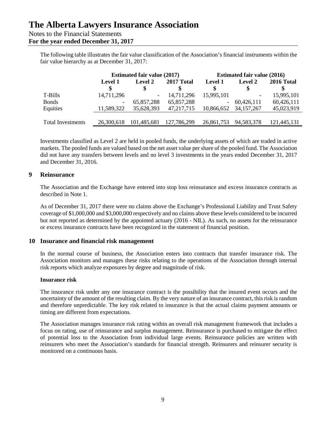## Notes to the Financial Statements

## **For the year ended December 31, 2017**

The following table illustrates the fair value classification of the Association's financial instruments within the fair value hierarchy as at December 31, 2017:

|                          |                          | <b>Estimated fair value (2017)</b> |              |                          | <b>Estimated fair value (2016)</b> |                  |  |  |
|--------------------------|--------------------------|------------------------------------|--------------|--------------------------|------------------------------------|------------------|--|--|
|                          | Level 1                  | Level 2                            | 2017 Total   | Level 1                  | Level 2                            | 2016 Total<br>\$ |  |  |
| T-Bills                  | 14,711,296               | $\overline{\phantom{a}}$           | 14,711,296   | 15,995,101               | $\overline{\phantom{a}}$           | 15,995,101       |  |  |
| <b>Bonds</b>             | $\overline{\phantom{a}}$ | 65,857,288                         | 65,857,288   | $\overline{\phantom{a}}$ | 60,426,111                         | 60,426,111       |  |  |
| Equities                 | 11,589,322               | 35,628,393                         | 47, 217, 715 | 10,866,652               | 34, 157, 267                       | 45,023,919       |  |  |
|                          |                          |                                    |              |                          |                                    |                  |  |  |
| <b>Total Investments</b> | 26.300.618               | 101,485,681                        | 127,786,299  | 26.861.753               | 94,583,378                         | 121,445,131      |  |  |

Investments classified as Level 2 are held in pooled funds, the underlying assets of which are traded in active markets. The pooled funds are valued based on the net asset value per share of the pooled fund. The Association did not have any transfers between levels and no level 3 investments in the years ended December 31, 2017 and December 31, 2016.

## **9 Reinsurance**

The Association and the Exchange have entered into stop loss reinsurance and excess insurance contracts as described in Note 1.

As of December 31, 2017 there were no claims above the Exchange's Professional Liability and Trust Safety coverage of \$1,000,000 and \$3,000,000 respectively and no claims above these levels considered to be incurred but not reported as determined by the appointed actuary (2016 - NIL). As such, no assets for the reinsurance or excess insurance contracts have been recognized in the statement of financial position.

## **10 Insurance and financial risk management**

In the normal course of business, the Association enters into contracts that transfer insurance risk. The Association monitors and manages these risks relating to the operations of the Association through internal risk reports which analyze exposures by degree and magnitude of risk.

## **Insurance risk**

The insurance risk under any one insurance contract is the possibility that the insured event occurs and the uncertainty of the amount of the resulting claim. By the very nature of an insurance contract, this risk is random and therefore unpredictable. The key risk related to insurance is that the actual claims payment amounts or timing are different from expectations.

The Association manages insurance risk rating within an overall risk management framework that includes a focus on rating, use of reinsurance and surplus management. Reinsurance is purchased to mitigate the effect of potential loss to the Association from individual large events. Reinsurance policies are written with reinsurers who meet the Association's standards for financial strength. Reinsurers and reinsurer security is monitored on a continuous basis.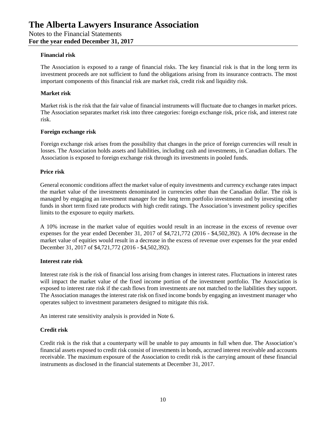### **Financial risk**

The Association is exposed to a range of financial risks. The key financial risk is that in the long term its investment proceeds are not sufficient to fund the obligations arising from its insurance contracts. The most important components of this financial risk are market risk, credit risk and liquidity risk.

## **Market risk**

Market risk is the risk that the fair value of financial instruments will fluctuate due to changes in market prices. The Association separates market risk into three categories: foreign exchange risk, price risk, and interest rate risk.

## **Foreign exchange risk**

Foreign exchange risk arises from the possibility that changes in the price of foreign currencies will result in losses. The Association holds assets and liabilities, including cash and investments, in Canadian dollars. The Association is exposed to foreign exchange risk through its investments in pooled funds.

## **Price risk**

General economic conditions affect the market value of equity investments and currency exchange rates impact the market value of the investments denominated in currencies other than the Canadian dollar. The risk is managed by engaging an investment manager for the long term portfolio investments and by investing other funds in short term fixed rate products with high credit ratings. The Association's investment policy specifies limits to the exposure to equity markets.

A 10% increase in the market value of equities would result in an increase in the excess of revenue over expenses for the year ended December 31, 2017 of \$4,721,772 (2016 - \$4,502,392). A 10% decrease in the market value of equities would result in a decrease in the excess of revenue over expenses for the year ended December 31, 2017 of \$4,721,772 (2016 - \$4,502,392).

### **Interest rate risk**

Interest rate risk is the risk of financial loss arising from changes in interest rates. Fluctuations in interest rates will impact the market value of the fixed income portion of the investment portfolio. The Association is exposed to interest rate risk if the cash flows from investments are not matched to the liabilities they support. The Association manages the interest rate risk on fixed income bonds by engaging an investment manager who operates subject to investment parameters designed to mitigate this risk.

An interest rate sensitivity analysis is provided in Note 6.

## **Credit risk**

Credit risk is the risk that a counterparty will be unable to pay amounts in full when due. The Association's financial assets exposed to credit risk consist of investments in bonds, accrued interest receivable and accounts receivable. The maximum exposure of the Association to credit risk is the carrying amount of these financial instruments as disclosed in the financial statements at December 31, 2017.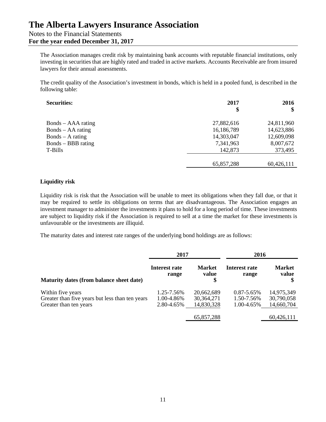The Association manages credit risk by maintaining bank accounts with reputable financial institutions, only investing in securities that are highly rated and traded in active markets. Accounts Receivable are from insured lawyers for their annual assessments.

The credit quality of the Association's investment in bonds, which is held in a pooled fund, is described in the following table:

| <b>Securities:</b> | 2017<br>\$ | 2016<br>\$ |
|--------------------|------------|------------|
| Bonds – AAA rating | 27,882,616 | 24,811,960 |
| Bonds – AA rating  | 16,186,789 | 14,623,886 |
| $Bonds - A rating$ | 14,303,047 | 12,609,098 |
| Bonds – BBB rating | 7,341,963  | 8,007,672  |
| T-Bills            | 142,873    | 373,495    |
|                    |            |            |
|                    | 65,857,288 | 60,426,111 |

## **Liquidity risk**

Liquidity risk is risk that the Association will be unable to meet its obligations when they fall due, or that it may be required to settle its obligations on terms that are disadvantageous. The Association engages an investment manager to administer the investments it plans to hold for a long period of time. These investments are subject to liquidity risk if the Association is required to sell at a time the market for these investments is unfavourable or the investments are illiquid.

The maturity dates and interest rate ranges of the underlying bond holdings are as follows:

|                                                 | 2017                   |                              | 2016                   |                        |  |
|-------------------------------------------------|------------------------|------------------------------|------------------------|------------------------|--|
| Maturity dates (from balance sheet date)        | Interest rate<br>range | <b>Market</b><br>value<br>\$ | Interest rate<br>range | <b>Market</b><br>value |  |
| Within five years                               | 1.25-7.56%             | 20,662,689                   | $0.87 - 5.65\%$        | 14,975,349             |  |
| Greater than five years but less than ten years | 1.00-4.86%             | 30, 364, 271                 | 1.50-7.56%             | 30,790,058             |  |
| Greater than ten years                          | 2.80-4.65%             | 14,830,328                   | 1.00-4.65%             | 14,660,704             |  |
|                                                 |                        | 65,857,288                   |                        | 60,426,111             |  |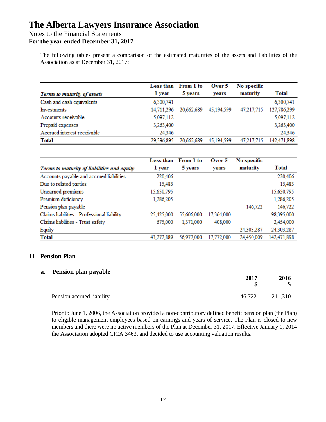## Notes to the Financial Statements

**For the year ended December 31, 2017**

The following tables present a comparison of the estimated maturities of the assets and liabilities of the Association as at December 31, 2017:

| Terms to maturity of assets | Less than<br>1 year | From 1 to<br>5 years | Over 5<br>vears | No specific<br>maturity | Total       |
|-----------------------------|---------------------|----------------------|-----------------|-------------------------|-------------|
| Cash and cash equivalents   | 6,300,741           |                      |                 |                         | 6,300,741   |
| Investments                 | 14,711,296          | 20,662,689           | 45,194,599      | 47,217,715              | 127,786,299 |
| Accounts receivable         | 5,097,112           |                      |                 |                         | 5,097,112   |
| Prepaid expenses            | 3,263,400           |                      |                 |                         | 3,263,400   |
| Accrued interest receivable | 24,346              |                      |                 |                         | 24,346      |
| <b>Total</b>                | 29,396,895          | 20,662,689           | 45,194,599      | 47.217.715              | 142,471,898 |

|                                             | Less than  | From 1 to  | Over 5     | No specific |             |
|---------------------------------------------|------------|------------|------------|-------------|-------------|
| Terms to maturity of liabilities and equity | 1 year     | 5 years    | years      | maturity    | Total       |
| Accounts payable and accrued liabilities    | 220,406    |            |            |             | 220,406     |
| Due to related parties                      | 15,483     |            |            |             | 15,483      |
| Unearned premiums                           | 15,650,795 |            |            |             | 15,650,795  |
| Premium deficiency                          | 1,286,205  |            |            |             | 1,286,205   |
| Pension plan payable                        |            |            |            | 146,722     | 146,722     |
| Claims liabilities - Professional liability | 25,425,000 | 55,606,000 | 17,364,000 |             | 98,395,000  |
| Claims liabilities - Trust safety           | 675,000    | 1,371,000  | 408,000    |             | 2,454,000   |
| Equity                                      |            |            |            | 24,303,287  | 24,303,287  |
| <b>Total</b>                                | 43,272,889 | 56,977,000 | 17,772,000 | 24,450,009  | 142,471,898 |

## **11 Pension Plan**

## **a. Pension plan payable**

|                           | 2017    | 2016    |
|---------------------------|---------|---------|
| Pension accrued liability | 146,722 | 211,310 |

Prior to June 1, 2006, the Association provided a non-contributory defined benefit pension plan (the Plan) to eligible management employees based on earnings and years of service. The Plan is closed to new members and there were no active members of the Plan at December 31, 2017. Effective January 1, 2014 the Association adopted CICA 3463, and decided to use accounting valuation results.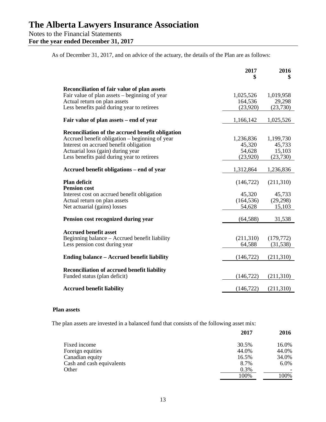**For the year ended December 31, 2017**

As of December 31, 2017, and on advice of the actuary, the details of the Plan are as follows:

|                                                                                    | 2017       | 2016       |
|------------------------------------------------------------------------------------|------------|------------|
| Reconciliation of fair value of plan assets                                        |            |            |
| Fair value of plan assets – beginning of year                                      | 1,025,526  | 1,019,958  |
| Actual return on plan assets                                                       | 164,536    | 29,298     |
| Less benefits paid during year to retirees                                         | (23,920)   | (23,730)   |
| Fair value of plan assets – end of year                                            | 1,166,142  | 1,025,526  |
| Reconciliation of the accrued benefit obligation                                   |            |            |
| Accrued benefit obligation – beginning of year                                     | 1,236,836  | 1,199,730  |
| Interest on accrued benefit obligation                                             | 45,320     | 45,733     |
| Actuarial loss (gain) during year                                                  | 54,628     | 15,103     |
| Less benefits paid during year to retirees                                         | (23,920)   | (23,730)   |
|                                                                                    |            |            |
| Accrued benefit obligations – end of year                                          | 1,312,864  | 1,236,836  |
| <b>Plan deficit</b><br><b>Pension cost</b>                                         | (146, 722) | (211,310)  |
| Interest cost on accrued benefit obligation                                        | 45,320     | 45,733     |
| Actual return on plan assets                                                       | (164, 536) | (29, 298)  |
| Net actuarial (gains) losses                                                       | 54,628     | 15,103     |
|                                                                                    |            |            |
| Pension cost recognized during year                                                | (64, 588)  | 31,538     |
| <b>Accrued benefit asset</b>                                                       |            |            |
| Beginning balance - Accrued benefit liability                                      | (211,310)  | (179, 772) |
| Less pension cost during year                                                      | 64,588     | (31, 538)  |
|                                                                                    |            |            |
| <b>Ending balance – Accrued benefit liability</b>                                  | (146, 722) | (211,310)  |
|                                                                                    |            |            |
| <b>Reconciliation of accrued benefit liability</b><br>Funded status (plan deficit) | (146, 722) | (211,310)  |
|                                                                                    |            |            |
| <b>Accrued benefit liability</b>                                                   | (146, 722) | (211,310)  |

#### **Plan assets**

The plan assets are invested in a balanced fund that consists of the following asset mix:

|                           | 2017  | 2016    |
|---------------------------|-------|---------|
| Fixed income              | 30.5% | 16.0%   |
| Foreign equities          | 44.0% | 44.0%   |
| Canadian equity           | 16.5% | 34.0%   |
| Cash and cash equivalents | 8.7%  | $6.0\%$ |
| Other                     | 0.3%  |         |
|                           | 100%  | 100%    |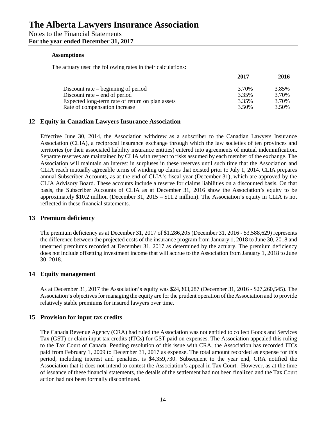#### **Assumptions**

The actuary used the following rates in their calculations:

|                                                  | 2017  | 2016  |
|--------------------------------------------------|-------|-------|
| Discount rate $-$ beginning of period            | 3.70% | 3.85% |
| Discount rate $-$ end of period                  | 3.35% | 3.70% |
| Expected long-term rate of return on plan assets | 3.35% | 3.70% |
| Rate of compensation increase                    | 3.50% | 3.50% |

## **12 Equity in Canadian Lawyers Insurance Association**

Effective June 30, 2014, the Association withdrew as a subscriber to the Canadian Lawyers Insurance Association (CLIA), a reciprocal insurance exchange through which the law societies of ten provinces and territories (or their associated liability insurance entities) entered into agreements of mutual indemnification. Separate reserves are maintained by CLIA with respect to risks assumed by each member of the exchange. The Association will maintain an interest in surpluses in these reserves until such time that the Association and CLIA reach mutually agreeable terms of winding up claims that existed prior to July 1, 2014. CLIA prepares annual Subscriber Accounts, as at the end of CLIA's fiscal year (December 31), which are approved by the CLIA Advisory Board. These accounts include a reserve for claims liabilities on a discounted basis. On that basis, the Subscriber Accounts of CLIA as at December 31, 2016 show the Association's equity to be approximately \$10.2 million (December 31, 2015 – \$11.2 million). The Association's equity in CLIA is not reflected in these financial statements.

### **13 Premium deficiency**

The premium deficiency as at December 31, 2017 of \$1,286,205 (December 31, 2016 - \$3,588,629) represents the difference between the projected costs of the insurance program from January 1, 2018 to June 30, 2018 and unearned premiums recorded at December 31, 2017 as determined by the actuary. The premium deficiency does not include offsetting investment income that will accrue to the Association from January 1, 2018 to June 30, 2018.

## **14 Equity management**

As at December 31, 2017 the Association's equity was \$24,303,287 (December 31, 2016 - \$27,260,545). The Association's objectives for managing the equity are for the prudent operation of the Association and to provide relatively stable premiums for insured lawyers over time.

### **15 Provision for input tax credits**

The Canada Revenue Agency (CRA) had ruled the Association was not entitled to collect Goods and Services Tax (GST) or claim input tax credits (ITCs) for GST paid on expenses. The Association appealed this ruling to the Tax Court of Canada. Pending resolution of this issue with CRA, the Association has recorded ITCs paid from February 1, 2009 to December 31, 2017 as expense. The total amount recorded as expense for this period, including interest and penalties, is \$4,359,730. Subsequent to the year end, CRA notified the Association that it does not intend to contest the Association's appeal in Tax Court. However, as at the time of issuance of these financial statements, the details of the settlement had not been finalized and the Tax Court action had not been formally discontinued.